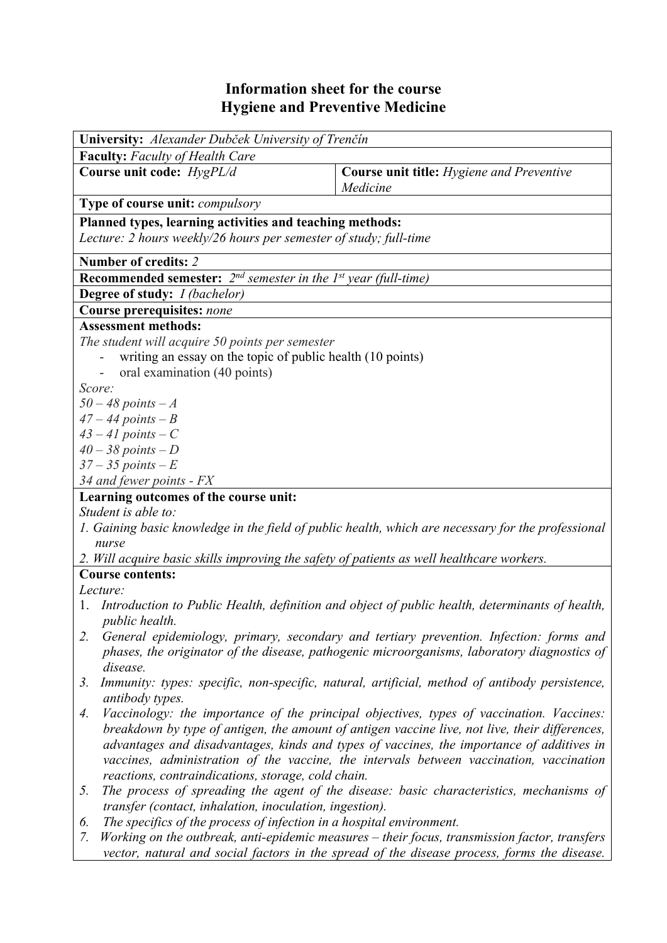## **Information sheet for the course Hygiene and Preventive Medicine**

| University: Alexander Dubček University of Trenčín                                        |                                                                                                    |  |  |  |  |
|-------------------------------------------------------------------------------------------|----------------------------------------------------------------------------------------------------|--|--|--|--|
| Faculty: Faculty of Health Care                                                           |                                                                                                    |  |  |  |  |
| Course unit code: HygPL/d                                                                 | <b>Course unit title:</b> Hygiene and Preventive                                                   |  |  |  |  |
|                                                                                           | Medicine                                                                                           |  |  |  |  |
| <b>Type of course unit: compulsory</b>                                                    |                                                                                                    |  |  |  |  |
| Planned types, learning activities and teaching methods:                                  |                                                                                                    |  |  |  |  |
| Lecture: 2 hours weekly/26 hours per semester of study; full-time                         |                                                                                                    |  |  |  |  |
| <b>Number of credits: 2</b>                                                               |                                                                                                    |  |  |  |  |
| <b>Recommended semester:</b> $2^{nd}$ semester in the $1^{st}$ year (full-time)           |                                                                                                    |  |  |  |  |
| Degree of study: I (bachelor)                                                             |                                                                                                    |  |  |  |  |
| Course prerequisites: none                                                                |                                                                                                    |  |  |  |  |
| <b>Assessment methods:</b>                                                                |                                                                                                    |  |  |  |  |
| The student will acquire 50 points per semester                                           |                                                                                                    |  |  |  |  |
| writing an essay on the topic of public health (10 points)                                |                                                                                                    |  |  |  |  |
| oral examination (40 points)                                                              |                                                                                                    |  |  |  |  |
| Score:                                                                                    |                                                                                                    |  |  |  |  |
| $50 - 48$ points $-A$                                                                     |                                                                                                    |  |  |  |  |
| $47 - 44$ points $-B$                                                                     |                                                                                                    |  |  |  |  |
| $43 - 41$ points $-C$                                                                     |                                                                                                    |  |  |  |  |
| $40 - 38$ points $-D$                                                                     |                                                                                                    |  |  |  |  |
| $37 - 35$ points $-E$                                                                     |                                                                                                    |  |  |  |  |
| 34 and fewer points - FX                                                                  |                                                                                                    |  |  |  |  |
| Learning outcomes of the course unit:                                                     |                                                                                                    |  |  |  |  |
| Student is able to:                                                                       |                                                                                                    |  |  |  |  |
|                                                                                           | 1. Gaining basic knowledge in the field of public health, which are necessary for the professional |  |  |  |  |
| nurse                                                                                     |                                                                                                    |  |  |  |  |
| 2. Will acquire basic skills improving the safety of patients as well healthcare workers. |                                                                                                    |  |  |  |  |
| <b>Course contents:</b>                                                                   |                                                                                                    |  |  |  |  |
| Lecture:                                                                                  | 1. Introduction to Public Health, definition and object of public health, determinants of health,  |  |  |  |  |
| <i>public health.</i>                                                                     |                                                                                                    |  |  |  |  |
|                                                                                           | General epidemiology, primary, secondary and tertiary prevention. Infection: forms and             |  |  |  |  |
|                                                                                           | phases, the originator of the disease, pathogenic microorganisms, laboratory diagnostics of        |  |  |  |  |
| disease.                                                                                  |                                                                                                    |  |  |  |  |
| 3.                                                                                        | Immunity: types: specific, non-specific, natural, artificial, method of antibody persistence,      |  |  |  |  |
| antibody types.                                                                           |                                                                                                    |  |  |  |  |
| 4.                                                                                        | Vaccinology: the importance of the principal objectives, types of vaccination. Vaccines:           |  |  |  |  |
|                                                                                           | breakdown by type of antigen, the amount of antigen vaccine live, not live, their differences,     |  |  |  |  |
|                                                                                           | advantages and disadvantages, kinds and types of vaccines, the importance of additives in          |  |  |  |  |
|                                                                                           | vaccines, administration of the vaccine, the intervals between vaccination, vaccination            |  |  |  |  |
| reactions, contraindications, storage, cold chain.                                        |                                                                                                    |  |  |  |  |
| 5.                                                                                        | The process of spreading the agent of the disease: basic characteristics, mechanisms of            |  |  |  |  |
| transfer (contact, inhalation, inoculation, ingestion).                                   |                                                                                                    |  |  |  |  |
| The specifics of the process of infection in a hospital environment.<br>6.                |                                                                                                    |  |  |  |  |
| 7                                                                                         | Working on the outbreak anti-enidemic measures – their focus transmission factor transfers         |  |  |  |  |

*7. Working on the outbreak, anti-epidemic measures – their focus, transmission factor, transfers vector, natural and social factors in the spread of the disease process, forms the disease.*